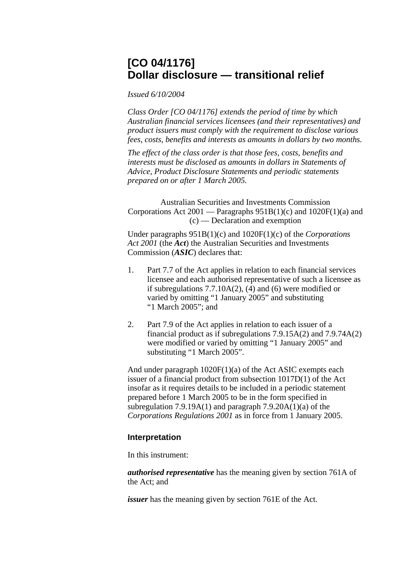## **[CO 04/1176] Dollar disclosure — transitional relief**

*Issued 6/10/2004*

*Class Order [CO 04/1176] extends the period of time by which Australian financial services licensees (and their representatives) and product issuers must comply with the requirement to disclose various fees, costs, benefits and interests as amounts in dollars by two months.* 

*The effect of the class order is that those fees, costs, benefits and interests must be disclosed as amounts in dollars in Statements of Advice, Product Disclosure Statements and periodic statements prepared on or after 1 March 2005.* 

Australian Securities and Investments Commission Corporations Act 2001 — Paragraphs  $951B(1)(c)$  and  $1020F(1)(a)$  and (c) — Declaration and exemption

Under paragraphs 951B(1)(c) and 1020F(1)(c) of the *Corporations Act 2001* (the *Act*) the Australian Securities and Investments Commission (*ASIC*) declares that:

- 1. Part 7.7 of the Act applies in relation to each financial services licensee and each authorised representative of such a licensee as if subregulations 7.7.10A(2), (4) and (6) were modified or varied by omitting "1 January 2005" and substituting "1 March 2005"; and
- 2. Part 7.9 of the Act applies in relation to each issuer of a financial product as if subregulations 7.9.15A(2) and 7.9.74A(2) were modified or varied by omitting "1 January 2005" and substituting "1 March 2005".

And under paragraph 1020F(1)(a) of the Act ASIC exempts each issuer of a financial product from subsection 1017D(1) of the Act insofar as it requires details to be included in a periodic statement prepared before 1 March 2005 to be in the form specified in subregulation 7.9.19A(1) and paragraph  $7.9.20A(1)(a)$  of the *Corporations Regulations 2001* as in force from 1 January 2005.

## **Interpretation**

In this instrument:

*authorised representative* has the meaning given by section 761A of the Act; and

*issuer* has the meaning given by section 761E of the Act.